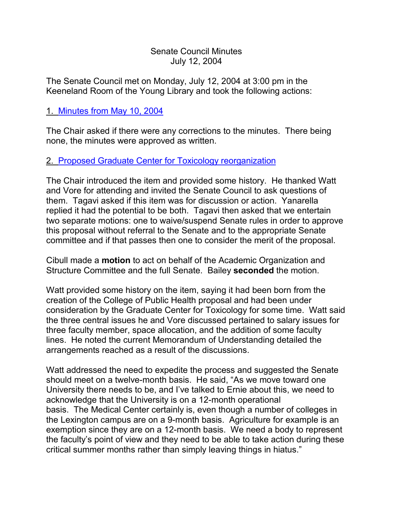#### Senate Council Minutes July 12, 2004

The Senate Council met on Monday, July 12, 2004 at 3:00 pm in the Keeneland Room of the Young Library and took the following actions:

## 1. [Minutes from May 10, 2004](http://www.uky.edu/USC/SCMinutes/SC%20Minutes%20May%2010%202004EJY.htm)

The Chair asked if there were any corrections to the minutes. There being none, the minutes were approved as written.

### 2. [Proposed Graduate Center for Toxicology reorganization](http://www.uky.edu/USC/SCagendas/2004-07-12/MEMORANDUM%20OF%20UNDERSTANDING%204-20-04.pdf)

The Chair introduced the item and provided some history. He thanked Watt and Vore for attending and invited the Senate Council to ask questions of them. Tagavi asked if this item was for discussion or action. Yanarella replied it had the potential to be both. Tagavi then asked that we entertain two separate motions: one to waive/suspend Senate rules in order to approve this proposal without referral to the Senate and to the appropriate Senate committee and if that passes then one to consider the merit of the proposal.

Cibull made a **motion** to act on behalf of the Academic Organization and Structure Committee and the full Senate. Bailey **seconded** the motion.

Watt provided some history on the item, saying it had been born from the creation of the College of Public Health proposal and had been under consideration by the Graduate Center for Toxicology for some time. Watt said the three central issues he and Vore discussed pertained to salary issues for three faculty member, space allocation, and the addition of some faculty lines. He noted the current Memorandum of Understanding detailed the arrangements reached as a result of the discussions.

Watt addressed the need to expedite the process and suggested the Senate should meet on a twelve-month basis. He said, "As we move toward one University there needs to be, and I've talked to Ernie about this, we need to acknowledge that the University is on a 12-month operational basis. The Medical Center certainly is, even though a number of colleges in the Lexington campus are on a 9-month basis. Agriculture for example is an exemption since they are on a 12-month basis. We need a body to represent the faculty's point of view and they need to be able to take action during these critical summer months rather than simply leaving things in hiatus."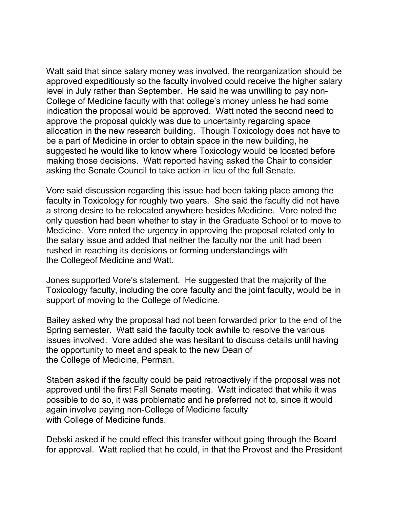Watt said that since salary money was involved, the reorganization should be approved expeditiously so the faculty involved could receive the higher salary level in July rather than September. He said he was unwilling to pay non-College of Medicine faculty with that college's money unless he had some indication the proposal would be approved. Watt noted the second need to approve the proposal quickly was due to uncertainty regarding space allocation in the new research building. Though Toxicology does not have to be a part of Medicine in order to obtain space in the new building, he suggested he would like to know where Toxicology would be located before making those decisions. Watt reported having asked the Chair to consider asking the Senate Council to take action in lieu of the full Senate.

Vore said discussion regarding this issue had been taking place among the faculty in Toxicology for roughly two years. She said the faculty did not have a strong desire to be relocated anywhere besides Medicine. Vore noted the only question had been whether to stay in the Graduate School or to move to Medicine. Vore noted the urgency in approving the proposal related only to the salary issue and added that neither the faculty nor the unit had been rushed in reaching its decisions or forming understandings with the Collegeof Medicine and Watt.

Jones supported Vore's statement. He suggested that the majority of the Toxicology faculty, including the core faculty and the joint faculty, would be in support of moving to the College of Medicine.

Bailey asked why the proposal had not been forwarded prior to the end of the Spring semester. Watt said the faculty took awhile to resolve the various issues involved. Vore added she was hesitant to discuss details until having the opportunity to meet and speak to the new Dean of the College of Medicine, Perman.

Staben asked if the faculty could be paid retroactively if the proposal was not approved until the first Fall Senate meeting. Watt indicated that while it was possible to do so, it was problematic and he preferred not to, since it would again involve paying non-College of Medicine faculty with College of Medicine funds.

Debski asked if he could effect this transfer without going through the Board for approval. Watt replied that he could, in that the Provost and the President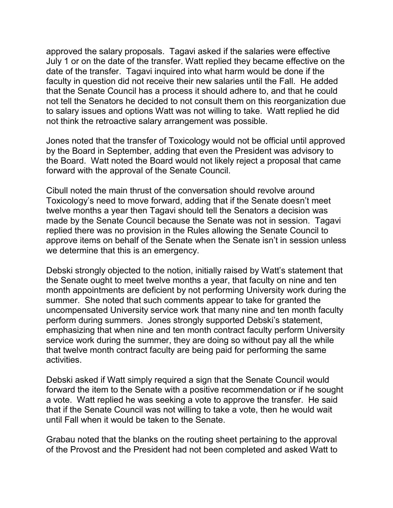approved the salary proposals. Tagavi asked if the salaries were effective July 1 or on the date of the transfer. Watt replied they became effective on the date of the transfer. Tagavi inquired into what harm would be done if the faculty in question did not receive their new salaries until the Fall. He added that the Senate Council has a process it should adhere to, and that he could not tell the Senators he decided to not consult them on this reorganization due to salary issues and options Watt was not willing to take. Watt replied he did not think the retroactive salary arrangement was possible.

Jones noted that the transfer of Toxicology would not be official until approved by the Board in September, adding that even the President was advisory to the Board. Watt noted the Board would not likely reject a proposal that came forward with the approval of the Senate Council.

Cibull noted the main thrust of the conversation should revolve around Toxicology's need to move forward, adding that if the Senate doesn't meet twelve months a year then Tagavi should tell the Senators a decision was made by the Senate Council because the Senate was not in session. Tagavi replied there was no provision in the Rules allowing the Senate Council to approve items on behalf of the Senate when the Senate isn't in session unless we determine that this is an emergency.

Debski strongly objected to the notion, initially raised by Watt's statement that the Senate ought to meet twelve months a year, that faculty on nine and ten month appointments are deficient by not performing University work during the summer. She noted that such comments appear to take for granted the uncompensated University service work that many nine and ten month faculty perform during summers. Jones strongly supported Debski's statement, emphasizing that when nine and ten month contract faculty perform University service work during the summer, they are doing so without pay all the while that twelve month contract faculty are being paid for performing the same activities.

Debski asked if Watt simply required a sign that the Senate Council would forward the item to the Senate with a positive recommendation or if he sought a vote. Watt replied he was seeking a vote to approve the transfer. He said that if the Senate Council was not willing to take a vote, then he would wait until Fall when it would be taken to the Senate.

Grabau noted that the blanks on the routing sheet pertaining to the approval of the Provost and the President had not been completed and asked Watt to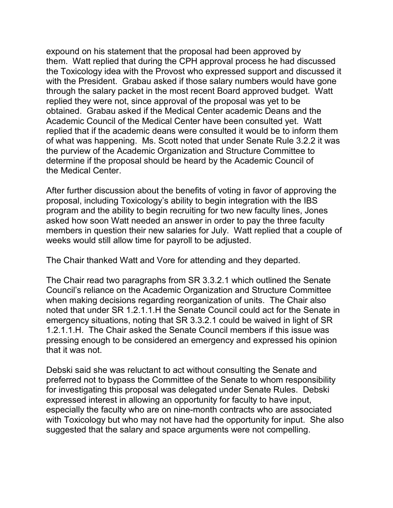expound on his statement that the proposal had been approved by them. Watt replied that during the CPH approval process he had discussed the Toxicology idea with the Provost who expressed support and discussed it with the President. Grabau asked if those salary numbers would have gone through the salary packet in the most recent Board approved budget. Watt replied they were not, since approval of the proposal was yet to be obtained. Grabau asked if the Medical Center academic Deans and the Academic Council of the Medical Center have been consulted yet. Watt replied that if the academic deans were consulted it would be to inform them of what was happening. Ms. Scott noted that under Senate Rule 3.2.2 it was the purview of the Academic Organization and Structure Committee to determine if the proposal should be heard by the Academic Council of the Medical Center.

After further discussion about the benefits of voting in favor of approving the proposal, including Toxicology's ability to begin integration with the IBS program and the ability to begin recruiting for two new faculty lines, Jones asked how soon Watt needed an answer in order to pay the three faculty members in question their new salaries for July. Watt replied that a couple of weeks would still allow time for payroll to be adjusted.

The Chair thanked Watt and Vore for attending and they departed.

The Chair read two paragraphs from SR 3.3.2.1 which outlined the Senate Council's reliance on the Academic Organization and Structure Committee when making decisions regarding reorganization of units. The Chair also noted that under SR 1.2.1.1.H the Senate Council could act for the Senate in emergency situations, noting that SR 3.3.2.1 could be waived in light of SR 1.2.1.1.H. The Chair asked the Senate Council members if this issue was pressing enough to be considered an emergency and expressed his opinion that it was not.

Debski said she was reluctant to act without consulting the Senate and preferred not to bypass the Committee of the Senate to whom responsibility for investigating this proposal was delegated under Senate Rules. Debski expressed interest in allowing an opportunity for faculty to have input, especially the faculty who are on nine-month contracts who are associated with Toxicology but who may not have had the opportunity for input. She also suggested that the salary and space arguments were not compelling.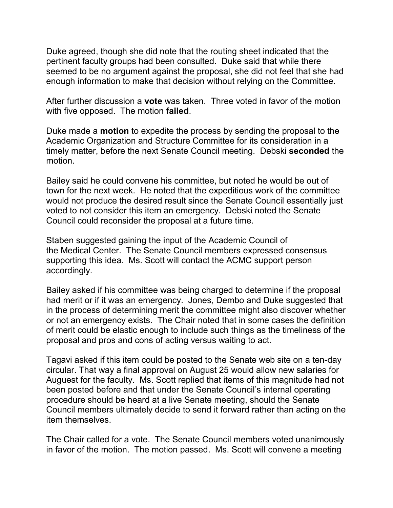Duke agreed, though she did note that the routing sheet indicated that the pertinent faculty groups had been consulted. Duke said that while there seemed to be no argument against the proposal, she did not feel that she had enough information to make that decision without relying on the Committee.

After further discussion a **vote** was taken. Three voted in favor of the motion with five opposed. The motion **failed**.

Duke made a **motion** to expedite the process by sending the proposal to the Academic Organization and Structure Committee for its consideration in a timely matter, before the next Senate Council meeting. Debski **seconded** the motion.

Bailey said he could convene his committee, but noted he would be out of town for the next week. He noted that the expeditious work of the committee would not produce the desired result since the Senate Council essentially just voted to not consider this item an emergency. Debski noted the Senate Council could reconsider the proposal at a future time.

Staben suggested gaining the input of the Academic Council of the Medical Center. The Senate Council members expressed consensus supporting this idea. Ms. Scott will contact the ACMC support person accordingly.

Bailey asked if his committee was being charged to determine if the proposal had merit or if it was an emergency. Jones, Dembo and Duke suggested that in the process of determining merit the committee might also discover whether or not an emergency exists. The Chair noted that in some cases the definition of merit could be elastic enough to include such things as the timeliness of the proposal and pros and cons of acting versus waiting to act.

Tagavi asked if this item could be posted to the Senate web site on a ten-day circular. That way a final approval on August 25 would allow new salaries for Auguest for the faculty. Ms. Scott replied that items of this magnitude had not been posted before and that under the Senate Council's internal operating procedure should be heard at a live Senate meeting, should the Senate Council members ultimately decide to send it forward rather than acting on the item themselves.

The Chair called for a vote. The Senate Council members voted unanimously in favor of the motion. The motion passed. Ms. Scott will convene a meeting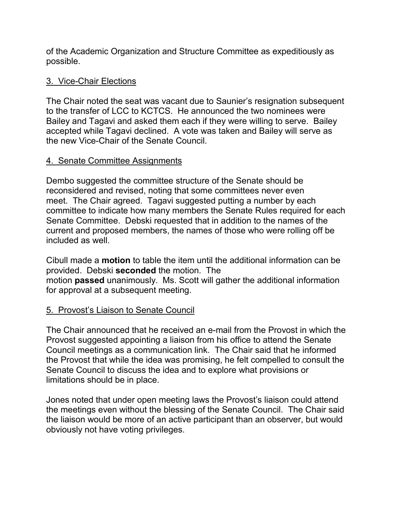of the Academic Organization and Structure Committee as expeditiously as possible.

### 3. Vice-Chair Elections

The Chair noted the seat was vacant due to Saunier's resignation subsequent to the transfer of LCC to KCTCS. He announced the two nominees were Bailey and Tagavi and asked them each if they were willing to serve. Bailey accepted while Tagavi declined. A vote was taken and Bailey will serve as the new Vice-Chair of the Senate Council.

### 4. Senate Committee Assignments

Dembo suggested the committee structure of the Senate should be reconsidered and revised, noting that some committees never even meet. The Chair agreed. Tagavi suggested putting a number by each committee to indicate how many members the Senate Rules required for each Senate Committee. Debski requested that in addition to the names of the current and proposed members, the names of those who were rolling off be included as well.

Cibull made a **motion** to table the item until the additional information can be provided. Debski **seconded** the motion. The motion **passed** unanimously. Ms. Scott will gather the additional information for approval at a subsequent meeting.

# 5. Provost's Liaison to Senate Council

The Chair announced that he received an e-mail from the Provost in which the Provost suggested appointing a liaison from his office to attend the Senate Council meetings as a communication link. The Chair said that he informed the Provost that while the idea was promising, he felt compelled to consult the Senate Council to discuss the idea and to explore what provisions or limitations should be in place.

Jones noted that under open meeting laws the Provost's liaison could attend the meetings even without the blessing of the Senate Council. The Chair said the liaison would be more of an active participant than an observer, but would obviously not have voting privileges.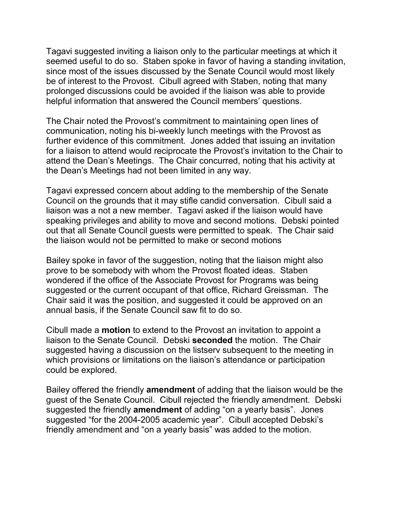Tagavi suggested inviting a liaison only to the particular meetings at which it seemed useful to do so. Staben spoke in favor of having a standing invitation, since most of the issues discussed by the Senate Council would most likely be of interest to the Provost. Cibull agreed with Staben, noting that many prolonged discussions could be avoided if the liaison was able to provide helpful information that answered the Council members' questions.

The Chair noted the Provost's commitment to maintaining open lines of communication, noting his bi-weekly lunch meetings with the Provost as further evidence of this commitment. Jones added that issuing an invitation for a liaison to attend would reciprocate the Provost's invitation to the Chair to attend the Dean's Meetings. The Chair concurred, noting that his activity at the Dean's Meetings had not been limited in any way.

Tagavi expressed concern about adding to the membership of the Senate Council on the grounds that it may stifle candid conversation. Cibull said a liaison was a not a new member. Tagavi asked if the liaison would have speaking privileges and ability to move and second motions. Debski pointed out that all Senate Council guests were permitted to speak. The Chair said the liaison would not be permitted to make or second motions

Bailey spoke in favor of the suggestion, noting that the liaison might also prove to be somebody with whom the Provost floated ideas. Staben wondered if the office of the Associate Provost for Programs was being suggested or the current occupant of that office, Richard Greissman. The Chair said it was the position, and suggested it could be approved on an annual basis, if the Senate Council saw fit to do so.

Cibull made a **motion** to extend to the Provost an invitation to appoint a liaison to the Senate Council. Debski **seconded** the motion. The Chair suggested having a discussion on the listserv subsequent to the meeting in which provisions or limitations on the liaison's attendance or participation could be explored.

Bailey offered the friendly **amendment** of adding that the liaison would be the guest of the Senate Council. Cibull rejected the friendly amendment. Debski suggested the friendly **amendment** of adding "on a yearly basis". Jones suggested "for the 2004-2005 academic year". Cibull accepted Debski's friendly amendment and "on a yearly basis" was added to the motion.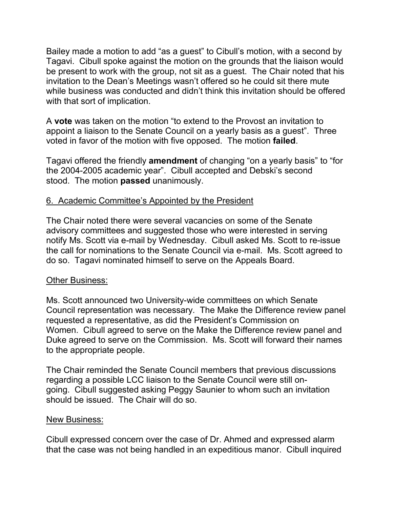Bailey made a motion to add "as a guest" to Cibull's motion, with a second by Tagavi. Cibull spoke against the motion on the grounds that the liaison would be present to work with the group, not sit as a guest. The Chair noted that his invitation to the Dean's Meetings wasn't offered so he could sit there mute while business was conducted and didn't think this invitation should be offered with that sort of implication.

A **vote** was taken on the motion "to extend to the Provost an invitation to appoint a liaison to the Senate Council on a yearly basis as a guest". Three voted in favor of the motion with five opposed. The motion **failed**.

Tagavi offered the friendly **amendment** of changing "on a yearly basis" to "for the 2004-2005 academic year". Cibull accepted and Debski's second stood. The motion **passed** unanimously.

# 6. Academic Committee's Appointed by the President

The Chair noted there were several vacancies on some of the Senate advisory committees and suggested those who were interested in serving notify Ms. Scott via e-mail by Wednesday. Cibull asked Ms. Scott to re-issue the call for nominations to the Senate Council via e-mail. Ms. Scott agreed to do so. Tagavi nominated himself to serve on the Appeals Board.

#### Other Business:

Ms. Scott announced two University-wide committees on which Senate Council representation was necessary. The Make the Difference review panel requested a representative, as did the President's Commission on Women. Cibull agreed to serve on the Make the Difference review panel and Duke agreed to serve on the Commission. Ms. Scott will forward their names to the appropriate people.

The Chair reminded the Senate Council members that previous discussions regarding a possible LCC liaison to the Senate Council were still ongoing. Cibull suggested asking Peggy Saunier to whom such an invitation should be issued. The Chair will do so.

#### New Business:

Cibull expressed concern over the case of Dr. Ahmed and expressed alarm that the case was not being handled in an expeditious manor. Cibull inquired